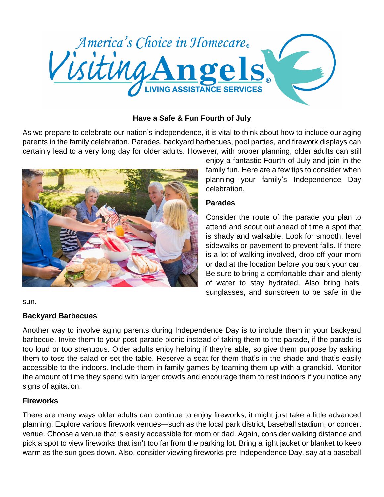

## **Have a Safe & Fun Fourth of July**

As we prepare to celebrate our nation's independence, it is vital to think about how to include our aging parents in the family celebration. Parades, backyard barbecues, pool parties, and firework displays can certainly lead to a very long day for older adults. However, with proper planning, older adults can still



enjoy a fantastic Fourth of July and join in the family fun. Here are a few tips to consider when planning your family's Independence Day celebration.

## **Parades**

Consider the route of the parade you plan to attend and scout out ahead of time a spot that is shady and walkable. Look for smooth, level sidewalks or pavement to prevent falls. If there is a lot of walking involved, drop off your mom or dad at the location before you park your car. Be sure to bring a comfortable chair and plenty of water to stay hydrated. Also bring hats, sunglasses, and sunscreen to be safe in the

sun.

## **Backyard Barbecues**

Another way to involve aging parents during Independence Day is to include them in your backyard barbecue. Invite them to your post-parade picnic instead of taking them to the parade, if the parade is too loud or too strenuous. Older adults enjoy helping if they're able, so give them purpose by asking them to toss the salad or set the table. Reserve a seat for them that's in the shade and that's easily accessible to the indoors. Include them in family games by teaming them up with a grandkid. Monitor the amount of time they spend with larger crowds and encourage them to rest indoors if you notice any signs of agitation.

## **Fireworks**

There are many ways older adults can continue to enjoy fireworks, it might just take a little advanced planning. Explore various firework venues—such as the local park district, baseball stadium, or concert venue. Choose a venue that is easily accessible for mom or dad. Again, consider walking distance and pick a spot to view fireworks that isn't too far from the parking lot. Bring a light jacket or blanket to keep warm as the sun goes down. Also, consider viewing fireworks pre-Independence Day, say at a baseball